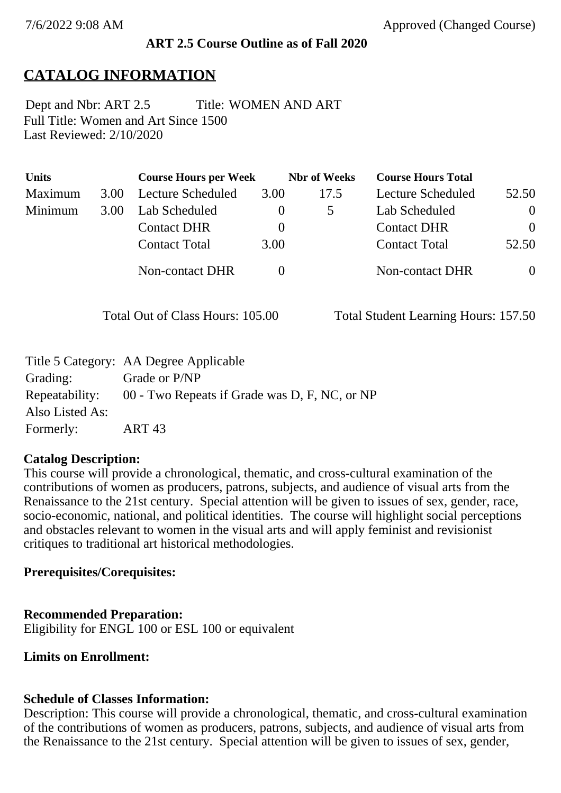#### **ART 2.5 Course Outline as of Fall 2020**

## **CATALOG INFORMATION**

Full Title: Women and Art Since 1500 Last Reviewed: 2/10/2020 Dept and Nbr: ART 2.5 Title: WOMEN AND ART

| <b>Units</b> |      | <b>Course Hours per Week</b> |          | <b>Nbr</b> of Weeks | <b>Course Hours Total</b> |          |
|--------------|------|------------------------------|----------|---------------------|---------------------------|----------|
| Maximum      | 3.00 | Lecture Scheduled            | 3.00     | 17.5                | Lecture Scheduled         | 52.50    |
| Minimum      | 3.00 | Lab Scheduled                |          |                     | Lab Scheduled             | $\theta$ |
|              |      | <b>Contact DHR</b>           | $\theta$ |                     | <b>Contact DHR</b>        | $\Omega$ |
|              |      | <b>Contact Total</b>         | 3.00     |                     | <b>Contact Total</b>      | 52.50    |
|              |      | Non-contact DHR              |          |                     | <b>Non-contact DHR</b>    | $\theta$ |

Total Out of Class Hours: 105.00 Total Student Learning Hours: 157.50

|                 | Title 5 Category: AA Degree Applicable        |
|-----------------|-----------------------------------------------|
| Grading:        | Grade or P/NP                                 |
| Repeatability:  | 00 - Two Repeats if Grade was D, F, NC, or NP |
| Also Listed As: |                                               |
| Formerly:       | ART 43                                        |

#### **Catalog Description:**

This course will provide a chronological, thematic, and cross-cultural examination of the contributions of women as producers, patrons, subjects, and audience of visual arts from the Renaissance to the 21st century. Special attention will be given to issues of sex, gender, race, socio-economic, national, and political identities. The course will highlight social perceptions and obstacles relevant to women in the visual arts and will apply feminist and revisionist critiques to traditional art historical methodologies.

### **Prerequisites/Corequisites:**

#### **Recommended Preparation:**

Eligibility for ENGL 100 or ESL 100 or equivalent

**Limits on Enrollment:**

#### **Schedule of Classes Information:**

Description: This course will provide a chronological, thematic, and cross-cultural examination of the contributions of women as producers, patrons, subjects, and audience of visual arts from the Renaissance to the 21st century. Special attention will be given to issues of sex, gender,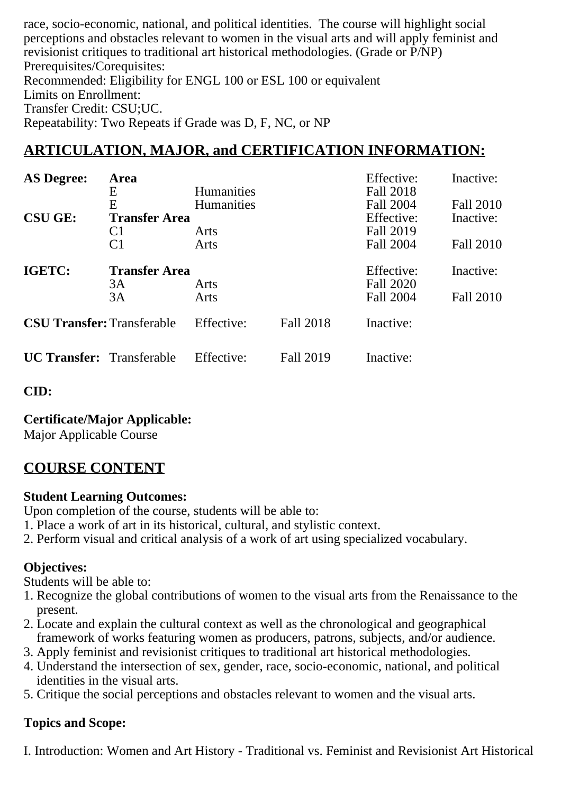race, socio-economic, national, and political identities. The course will highlight social perceptions and obstacles relevant to women in the visual arts and will apply feminist and revisionist critiques to traditional art historical methodologies. (Grade or P/NP) Prerequisites/Corequisites: Recommended: Eligibility for ENGL 100 or ESL 100 or equivalent Limits on Enrollment: Transfer Credit: CSU;UC. Repeatability: Two Repeats if Grade was D, F, NC, or NP

# **ARTICULATION, MAJOR, and CERTIFICATION INFORMATION:**

| <b>AS Degree:</b>                 | Area                 |                   |                  | Effective: | Inactive: |
|-----------------------------------|----------------------|-------------------|------------------|------------|-----------|
|                                   | Ε                    | <b>Humanities</b> |                  | Fall 2018  |           |
|                                   | E                    | <b>Humanities</b> |                  | Fall 2004  | Fall 2010 |
| <b>CSU GE:</b>                    | <b>Transfer Area</b> |                   |                  | Effective: | Inactive: |
|                                   | C <sub>1</sub>       | Arts              |                  | Fall 2019  |           |
|                                   | C <sub>1</sub>       | Arts              |                  | Fall 2004  | Fall 2010 |
| IGETC:                            | <b>Transfer Area</b> |                   |                  | Effective: | Inactive: |
|                                   | 3A                   | Arts              |                  | Fall 2020  |           |
|                                   | 3A                   | Arts              |                  | Fall 2004  | Fall 2010 |
| <b>CSU Transfer: Transferable</b> |                      | Effective:        | Fall 2018        | Inactive:  |           |
| <b>UC Transfer:</b> Transferable  |                      | Effective:        | <b>Fall 2019</b> | Inactive:  |           |

**CID:**

**Certificate/Major Applicable:** 

[Major Applicable Course](SR_ClassCheck.aspx?CourseKey=ART2.5)

# **COURSE CONTENT**

## **Student Learning Outcomes:**

Upon completion of the course, students will be able to:

- 1. Place a work of art in its historical, cultural, and stylistic context.
- 2. Perform visual and critical analysis of a work of art using specialized vocabulary.

## **Objectives:**

Students will be able to:

- 1. Recognize the global contributions of women to the visual arts from the Renaissance to the present.
- 2. Locate and explain the cultural context as well as the chronological and geographical framework of works featuring women as producers, patrons, subjects, and/or audience.
- 3. Apply feminist and revisionist critiques to traditional art historical methodologies.
- 4. Understand the intersection of sex, gender, race, socio-economic, national, and political identities in the visual arts.
- 5. Critique the social perceptions and obstacles relevant to women and the visual arts.

## **Topics and Scope:**

I. Introduction: Women and Art History - Traditional vs. Feminist and Revisionist Art Historical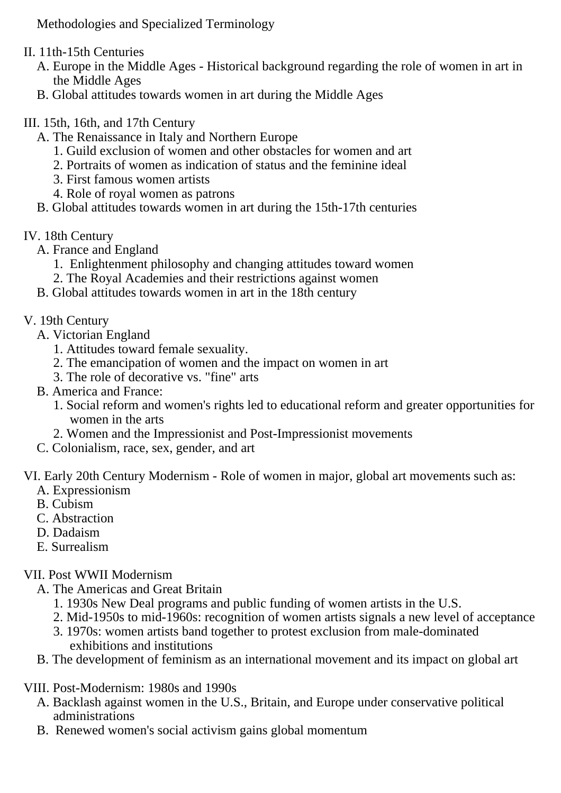Methodologies and Specialized Terminology

- II. 11th-15th Centuries
	- A. Europe in the Middle Ages Historical background regarding the role of women in art in the Middle Ages
	- B. Global attitudes towards women in art during the Middle Ages
- III. 15th, 16th, and 17th Century
	- A. The Renaissance in Italy and Northern Europe
		- 1. Guild exclusion of women and other obstacles for women and art
		- 2. Portraits of women as indication of status and the feminine ideal
		- 3. First famous women artists
		- 4. Role of royal women as patrons
	- B. Global attitudes towards women in art during the 15th-17th centuries
- IV. 18th Century
	- A. France and England
		- 1. Enlightenment philosophy and changing attitudes toward women
		- 2. The Royal Academies and their restrictions against women
	- B. Global attitudes towards women in art in the 18th century
- V. 19th Century
	- A. Victorian England
		- 1. Attitudes toward female sexuality.
		- 2. The emancipation of women and the impact on women in art
		- 3. The role of decorative vs. "fine" arts
	- B. America and France:
		- 1. Social reform and women's rights led to educational reform and greater opportunities for women in the arts
		- 2. Women and the Impressionist and Post-Impressionist movements
	- C. Colonialism, race, sex, gender, and art

VI. Early 20th Century Modernism - Role of women in major, global art movements such as:

- A. Expressionism
- B. Cubism
- C. Abstraction
- D. Dadaism
- E. Surrealism

## VII. Post WWII Modernism

- A. The Americas and Great Britain
	- 1. 1930s New Deal programs and public funding of women artists in the U.S.
	- 2. Mid-1950s to mid-1960s: recognition of women artists signals a new level of acceptance
	- 3. 1970s: women artists band together to protest exclusion from male-dominated exhibitions and institutions
- B. The development of feminism as an international movement and its impact on global art
- VIII. Post-Modernism: 1980s and 1990s
	- A. Backlash against women in the U.S., Britain, and Europe under conservative political administrations
	- B. Renewed women's social activism gains global momentum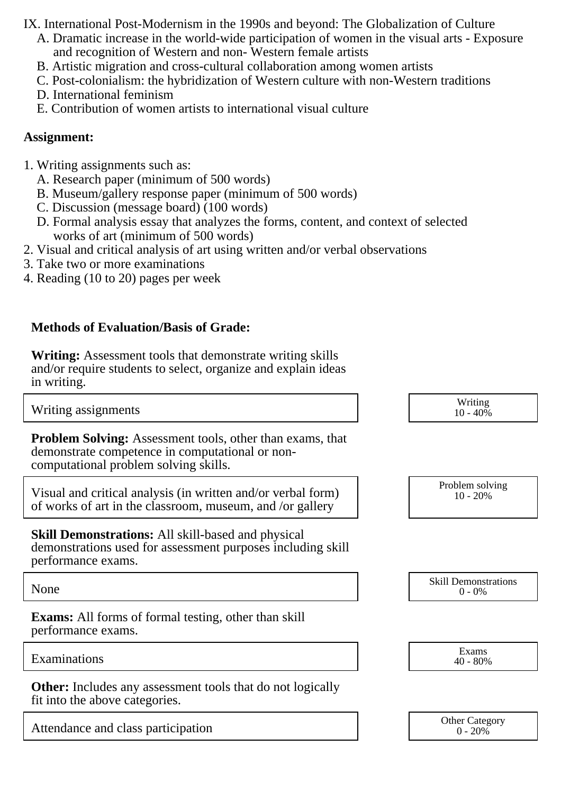IX. International Post-Modernism in the 1990s and beyond: The Globalization of Culture

- A. Dramatic increase in the world-wide participation of women in the visual arts Exposure and recognition of Western and non- Western female artists
- B. Artistic migration and cross-cultural collaboration among women artists
- C. Post-colonialism: the hybridization of Western culture with non-Western traditions
- D. International feminism
- E. Contribution of women artists to international visual culture

### **Assignment:**

- 1. Writing assignments such as:
	- A. Research paper (minimum of 500 words)
	- B. Museum/gallery response paper (minimum of 500 words)
	- C. Discussion (message board) (100 words)
	- D. Formal analysis essay that analyzes the forms, content, and context of selected works of art (minimum of 500 words)
- 2. Visual and critical analysis of art using written and/or verbal observations
- 3. Take two or more examinations
- 4. Reading (10 to 20) pages per week

## **Methods of Evaluation/Basis of Grade:**

**Writing:** Assessment tools that demonstrate writing skills and/or require students to select, organize and explain ideas in writing.

Writing assignments Writing assignments and the set of the set of the set of the set of the set of the set of the set of the set of the set of the set of the set of the set of the set of the set of the set of the set of th

**Problem Solving:** Assessment tools, other than exams, that demonstrate competence in computational or noncomputational problem solving skills.

Visual and critical analysis (in written and/or verbal form) of works of art in the classroom, museum, and /or gallery

**Skill Demonstrations:** All skill-based and physical demonstrations used for assessment purposes including skill performance exams.

**Exams:** All forms of formal testing, other than skill performance exams.

Examinations Exams and the Exams of the Exams of the Exams of the Exams of the Exams of the Exams of the Exams of the Exams of the Exams of the Exams of the Exams of the Exams of the Exams of the Exams of the Exams of the

**Other:** Includes any assessment tools that do not logically fit into the above categories.

Attendance and class participation and  $\frac{1}{0.20\%}$  Other Category

| W riting<br>$10 - 40%$ |  |
|------------------------|--|
|                        |  |

| Problem solving<br>$10 - 20%$ |
|-------------------------------|
|-------------------------------|

None Skill Demonstrations<br>  $\begin{array}{c} \text{Skill,} \\ 0 \text{ - } 0\% \end{array}$  $0 - 0\%$ 

| Exams      |  |
|------------|--|
| $40 - 80%$ |  |